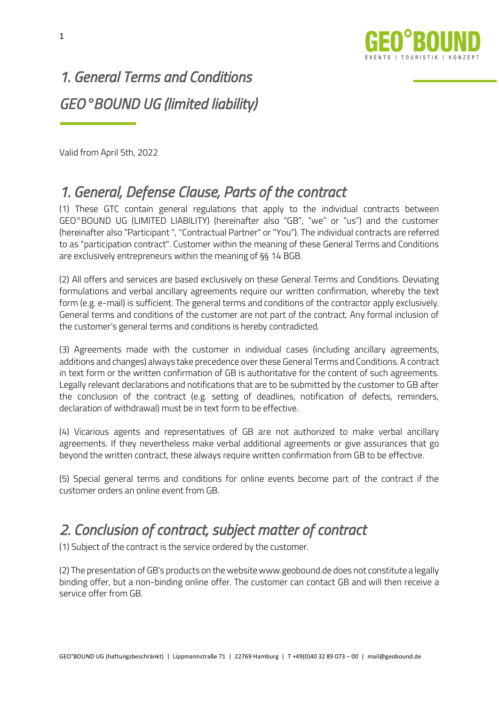

# *1. General Terms and Conditions GEO°BOUND UG (limited liability)*

Valid from April 5th, 2022

#### *1. General, Defense Clause, Parts of the contract*

(1) These GTC contain general regulations that apply to the individual contracts between GEO°BOUND UG (LIMITED LIABILITY) (hereinafter also "GB", "we" or "us") and the customer (hereinafter also "Participant ", "Contractual Partner" or "You"). The individual contracts are referred to as "participation contract". Customer within the meaning of these General Terms and Conditions are exclusively entrepreneurs within the meaning of §§ 14 BGB.

(2) All offers and services are based exclusively on these General Terms and Conditions. Deviating formulations and verbal ancillary agreements require our written confirmation, whereby the text form (e.g. e-mail) is sufficient. The general terms and conditions of the contractor apply exclusively. General terms and conditions of the customer are not part of the contract. Any formal inclusion of the customer's general terms and conditions is hereby contradicted.

(3) Agreements made with the customer in individual cases (including ancillary agreements, additions and changes) always take precedence over these General Terms and Conditions. A contract in text form or the written confirmation of GB is authoritative for the content of such agreements. Legally relevant declarations and notifications that are to be submitted by the customer to GB after the conclusion of the contract (e.g. setting of deadlines, notification of defects, reminders, declaration of withdrawal) must be in text form to be effective.

(4) Vicarious agents and representatives of GB are not authorized to make verbal ancillary agreements. If they nevertheless make verbal additional agreements or give assurances that go beyond the written contract, these always require written confirmation from GB to be effective.

(5) Special general terms and conditions for online events become part of the contract if the customer orders an online event from GB.

#### *2. Conclusion of contract, subject matter of contract*

(1) Subject of the contract is the service ordered by the customer.

(2) The presentation of GB's products on the website www.geobound.de does not constitute a legally binding offer, but a non-binding online offer. The customer can contact GB and will then receive a service offer from GB.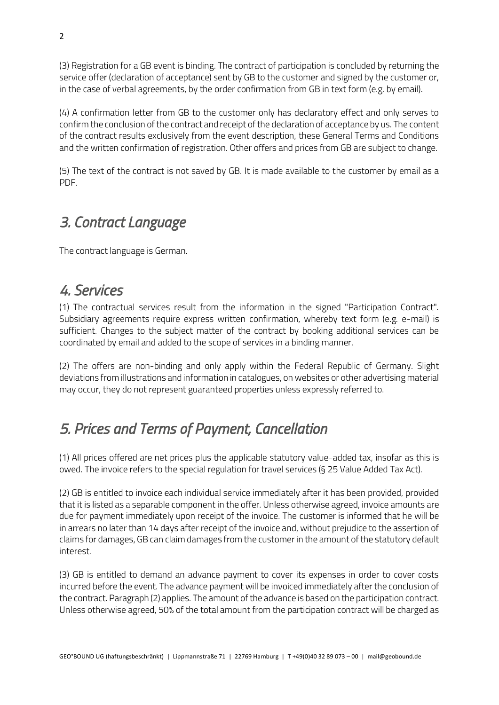(3) Registration for a GB event is binding. The contract of participation is concluded by returning the service offer (declaration of acceptance) sent by GB to the customer and signed by the customer or, in the case of verbal agreements, by the order confirmation from GB in text form (e.g. by email).

(4) A confirmation letter from GB to the customer only has declaratory effect and only serves to confirm the conclusion of the contract and receipt of the declaration of acceptance by us. The content of the contract results exclusively from the event description, these General Terms and Conditions and the written confirmation of registration. Other offers and prices from GB are subject to change.

(5) The text of the contract is not saved by GB. It is made available to the customer by email as a PDF.

#### *3. Contract Language*

The contract language is German.

#### *4. Services*

(1) The contractual services result from the information in the signed "Participation Contract". Subsidiary agreements require express written confirmation, whereby text form (e.g. e-mail) is sufficient. Changes to the subject matter of the contract by booking additional services can be coordinated by email and added to the scope of services in a binding manner.

(2) The offers are non-binding and only apply within the Federal Republic of Germany. Slight deviations from illustrations and information in catalogues, on websites or other advertising material may occur, they do not represent guaranteed properties unless expressly referred to.

#### *5. Prices and Terms of Payment, Cancellation*

(1) All prices offered are net prices plus the applicable statutory value-added tax, insofar as this is owed. The invoice refers to the special regulation for travel services (§ 25 Value Added Tax Act).

(2) GB is entitled to invoice each individual service immediately after it has been provided, provided that it is listed as a separable component in the offer. Unless otherwise agreed, invoice amounts are due for payment immediately upon receipt of the invoice. The customer is informed that he will be in arrears no later than 14 days after receipt of the invoice and, without prejudice to the assertion of claims for damages, GB can claim damages from the customer in the amount of the statutory default interest.

(3) GB is entitled to demand an advance payment to cover its expenses in order to cover costs incurred before the event. The advance payment will be invoiced immediately after the conclusion of the contract. Paragraph (2) applies. The amount of the advance is based on the participation contract. Unless otherwise agreed, 50% of the total amount from the participation contract will be charged as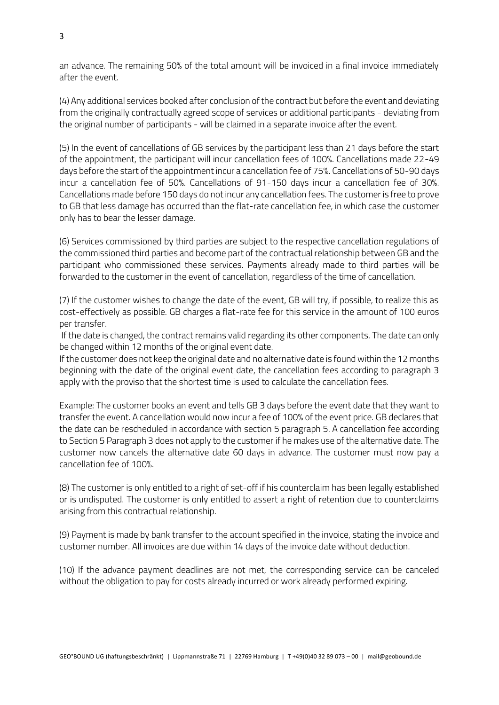an advance. The remaining 50% of the total amount will be invoiced in a final invoice immediately after the event.

(4) Any additional services booked after conclusion of the contract but before the event and deviating from the originally contractually agreed scope of services or additional participants - deviating from the original number of participants - will be claimed in a separate invoice after the event.

(5) In the event of cancellations of GB services by the participant less than 21 days before the start of the appointment, the participant will incur cancellation fees of 100%. Cancellations made 22-49 days before the start of the appointment incur a cancellation fee of 75%. Cancellations of 50-90 days incur a cancellation fee of 50%. Cancellations of 91-150 days incur a cancellation fee of 30%. Cancellations made before 150 days do not incur any cancellation fees. The customer is free to prove to GB that less damage has occurred than the flat-rate cancellation fee, in which case the customer only has to bear the lesser damage.

(6) Services commissioned by third parties are subject to the respective cancellation regulations of the commissioned third parties and become part of the contractual relationship between GB and the participant who commissioned these services. Payments already made to third parties will be forwarded to the customer in the event of cancellation, regardless of the time of cancellation.

(7) If the customer wishes to change the date of the event, GB will try, if possible, to realize this as cost-effectively as possible. GB charges a flat-rate fee for this service in the amount of 100 euros per transfer.

If the date is changed, the contract remains valid regarding its other components. The date can only be changed within 12 months of the original event date.

If the customer does not keep the original date and no alternative date is found within the 12 months beginning with the date of the original event date, the cancellation fees according to paragraph 3 apply with the proviso that the shortest time is used to calculate the cancellation fees.

Example: The customer books an event and tells GB 3 days before the event date that they want to transfer the event. A cancellation would now incur a fee of 100% of the event price. GB declares that the date can be rescheduled in accordance with section 5 paragraph 5. A cancellation fee according to Section 5 Paragraph 3 does not apply to the customer if he makes use of the alternative date. The customer now cancels the alternative date 60 days in advance. The customer must now pay a cancellation fee of 100%.

(8) The customer is only entitled to a right of set-off if his counterclaim has been legally established or is undisputed. The customer is only entitled to assert a right of retention due to counterclaims arising from this contractual relationship.

(9) Payment is made by bank transfer to the account specified in the invoice, stating the invoice and customer number. All invoices are due within 14 days of the invoice date without deduction.

(10) If the advance payment deadlines are not met, the corresponding service can be canceled without the obligation to pay for costs already incurred or work already performed expiring.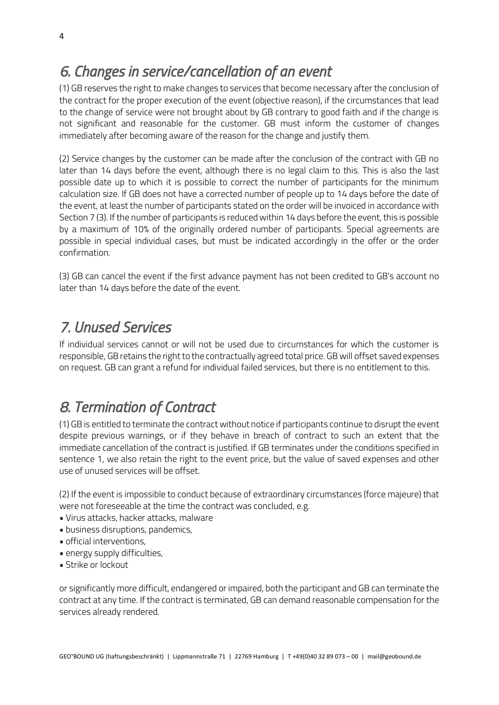#### *6. Changes in service/cancellation of an event*

(1) GB reserves the right to make changes to services that become necessary after the conclusion of the contract for the proper execution of the event (objective reason), if the circumstances that lead to the change of service were not brought about by GB contrary to good faith and if the change is not significant and reasonable for the customer. GB must inform the customer of changes immediately after becoming aware of the reason for the change and justify them.

(2) Service changes by the customer can be made after the conclusion of the contract with GB no later than 14 days before the event, although there is no legal claim to this. This is also the last possible date up to which it is possible to correct the number of participants for the minimum calculation size. If GB does not have a corrected number of people up to 14 days before the date of the event, at least the number of participants stated on the order will be invoiced in accordance with Section 7 (3). If the number of participants is reduced within 14 days before the event, this is possible by a maximum of 10% of the originally ordered number of participants. Special agreements are possible in special individual cases, but must be indicated accordingly in the offer or the order confirmation.

(3) GB can cancel the event if the first advance payment has not been credited to GB's account no later than 14 days before the date of the event.

## *7. Unused Services*

If individual services cannot or will not be used due to circumstances for which the customer is responsible, GB retains the right to the contractually agreed total price. GB will offset saved expenses on request. GB can grant a refund for individual failed services, but there is no entitlement to this.

## *8. Termination of Contract*

(1) GB is entitled to terminate the contract without notice if participants continue to disrupt the event despite previous warnings, or if they behave in breach of contract to such an extent that the immediate cancellation of the contract is justified. If GB terminates under the conditions specified in sentence 1, we also retain the right to the event price, but the value of saved expenses and other use of unused services will be offset.

(2) If the event is impossible to conduct because of extraordinary circumstances (force majeure) that were not foreseeable at the time the contract was concluded, e.g.

- Virus attacks, hacker attacks, malware
- business disruptions, pandemics,
- official interventions,
- energy supply difficulties,
- Strike or lockout

or significantly more difficult, endangered or impaired, both the participant and GB can terminate the contract at any time. If the contract is terminated, GB can demand reasonable compensation for the services already rendered.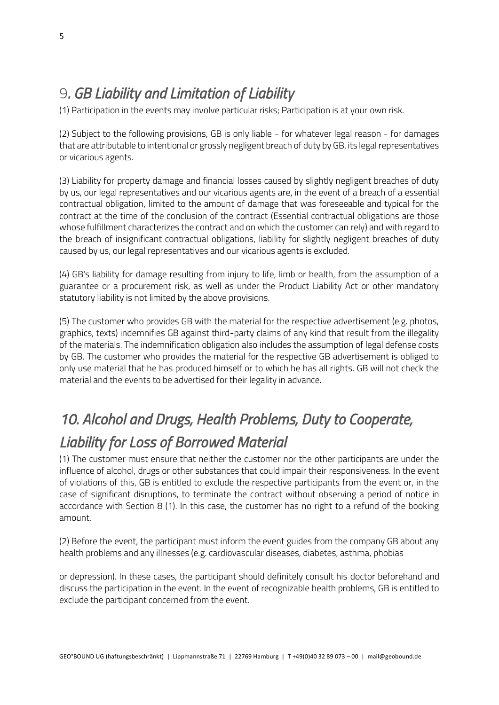#### 9*. GB Liability and Limitation of Liability*

(1) Participation in the events may involve particular risks; Participation is at your own risk.

(2) Subject to the following provisions, GB is only liable - for whatever legal reason - for damages that are attributable to intentional or grossly negligent breach of duty by GB, its legal representatives or vicarious agents.

(3) Liability for property damage and financial losses caused by slightly negligent breaches of duty by us, our legal representatives and our vicarious agents are, in the event of a breach of a essential contractual obligation, limited to the amount of damage that was foreseeable and typical for the contract at the time of the conclusion of the contract (Essential contractual obligations are those whose fulfillment characterizes the contract and on which the customer can rely) and with regard to the breach of insignificant contractual obligations, liability for slightly negligent breaches of duty caused by us, our legal representatives and our vicarious agents is excluded.

(4) GB's liability for damage resulting from injury to life, limb or health, from the assumption of a guarantee or a procurement risk, as well as under the Product Liability Act or other mandatory statutory liability is not limited by the above provisions.

(5) The customer who provides GB with the material for the respective advertisement (e.g. photos, graphics, texts) indemnifies GB against third-party claims of any kind that result from the illegality of the materials. The indemnification obligation also includes the assumption of legal defense costs by GB. The customer who provides the material for the respective GB advertisement is obliged to only use material that he has produced himself or to which he has all rights. GB will not check the material and the events to be advertised for their legality in advance.

## *10. Alcohol and Drugs, Health Problems, Duty to Cooperate, Liability for Loss of Borrowed Material*

(1) The customer must ensure that neither the customer nor the other participants are under the influence of alcohol, drugs or other substances that could impair their responsiveness. In the event of violations of this, GB is entitled to exclude the respective participants from the event or, in the case of significant disruptions, to terminate the contract without observing a period of notice in accordance with Section 8 (1). In this case, the customer has no right to a refund of the booking amount.

(2) Before the event, the participant must inform the event guides from the company GB about any health problems and any illnesses (e.g. cardiovascular diseases, diabetes, asthma, phobias

or depression). In these cases, the participant should definitely consult his doctor beforehand and discuss the participation in the event. In the event of recognizable health problems, GB is entitled to exclude the participant concerned from the event.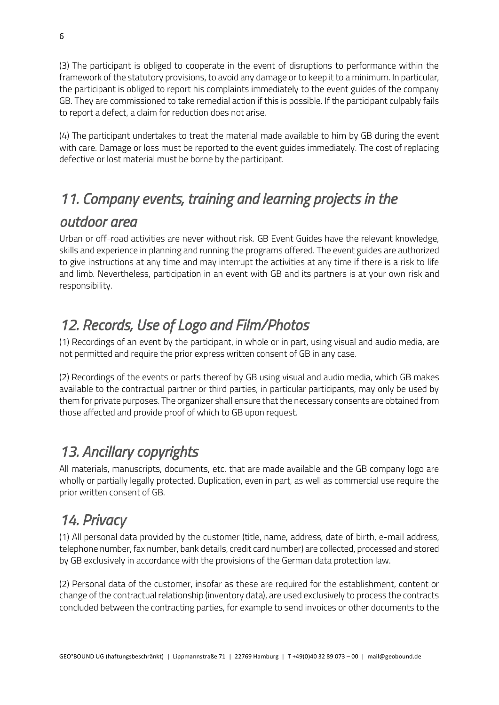(3) The participant is obliged to cooperate in the event of disruptions to performance within the framework of the statutory provisions, to avoid any damage or to keep it to a minimum. In particular, the participant is obliged to report his complaints immediately to the event guides of the company GB. They are commissioned to take remedial action if this is possible. If the participant culpably fails to report a defect, a claim for reduction does not arise.

(4) The participant undertakes to treat the material made available to him by GB during the event with care. Damage or loss must be reported to the event guides immediately. The cost of replacing defective or lost material must be borne by the participant.

## *11. Company events, training and learning projects in the*

#### *outdoor area*

Urban or off-road activities are never without risk. GB Event Guides have the relevant knowledge, skills and experience in planning and running the programs offered. The event guides are authorized to give instructions at any time and may interrupt the activities at any time if there is a risk to life and limb. Nevertheless, participation in an event with GB and its partners is at your own risk and responsibility.

## *12. Records, Use of Logo and Film/Photos*

(1) Recordings of an event by the participant, in whole or in part, using visual and audio media, are not permitted and require the prior express written consent of GB in any case.

(2) Recordings of the events or parts thereof by GB using visual and audio media, which GB makes available to the contractual partner or third parties, in particular participants, may only be used by them for private purposes. The organizer shall ensure that the necessary consents are obtained from those affected and provide proof of which to GB upon request.

## *13. Ancillary copyrights*

All materials, manuscripts, documents, etc. that are made available and the GB company logo are wholly or partially legally protected. Duplication, even in part, as well as commercial use require the prior written consent of GB.

### *14. Privacy*

(1) All personal data provided by the customer (title, name, address, date of birth, e-mail address, telephone number, fax number, bank details, credit card number) are collected, processed and stored by GB exclusively in accordance with the provisions of the German data protection law.

(2) Personal data of the customer, insofar as these are required for the establishment, content or change of the contractual relationship (inventory data), are used exclusively to process the contracts concluded between the contracting parties, for example to send invoices or other documents to the